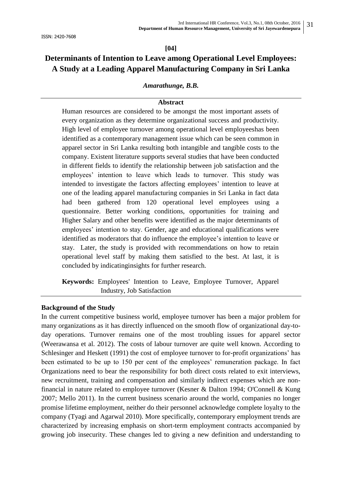### **[04]**

# **Determinants of Intention to Leave among Operational Level Employees: A Study at a Leading Apparel Manufacturing Company in Sri Lanka**

### *Amarathunge, B.B.*

## **Abstract**

Human resources are considered to be amongst the most important assets of every organization as they determine organizational success and productivity. High level of employee turnover among operational level employeeshas been identified as a contemporary management issue which can be seen common in apparel sector in Sri Lanka resulting both intangible and tangible costs to the company. Existent literature supports several studies that have been conducted in different fields to identify the relationship between job satisfaction and the employees" intention to leave which leads to turnover. This study was intended to investigate the factors affecting employees' intention to leave at one of the leading apparel manufacturing companies in Sri Lanka in fact data had been gathered from 120 operational level employees using a questionnaire. Better working conditions, opportunities for training and Higher Salary and other benefits were identified as the major determinants of employees" intention to stay. Gender, age and educational qualifications were identified as moderators that do influence the employee's intention to leave or stay. Later, the study is provided with recommendations on how to retain operational level staff by making them satisfied to the best. At last, it is concluded by indicatinginsights for further research.

**Keywords:** Employees' Intention to Leave, Employee Turnover, Apparel Industry, Job Satisfaction

### **Background of the Study**

In the current competitive business world, employee turnover has been a major problem for many organizations as it has directly influenced on the smooth flow of organizational day-today operations. Turnover remains one of the most troubling issues for apparel sector (Weerawansa et al. 2012). The costs of labour turnover are quite well known. According to Schlesinger and Heskett (1991) the cost of employee turnover to for-profit organizations' has been estimated to be up to 150 per cent of the employees' remuneration package. In fact Organizations need to bear the responsibility for both direct costs related to exit interviews, new recruitment, training and compensation and similarly indirect expenses which are nonfinancial in nature related to employee turnover (Kesner & Dalton 1994; O'Connell & Kung 2007; Mello 2011). In the current business scenario around the world, companies no longer promise lifetime employment, neither do their personnel acknowledge complete loyalty to the company (Tyagi and Agarwal 2010). More specifically, contemporary employment trends are characterized by increasing emphasis on short-term employment contracts accompanied by growing job insecurity. These changes led to giving a new definition and understanding to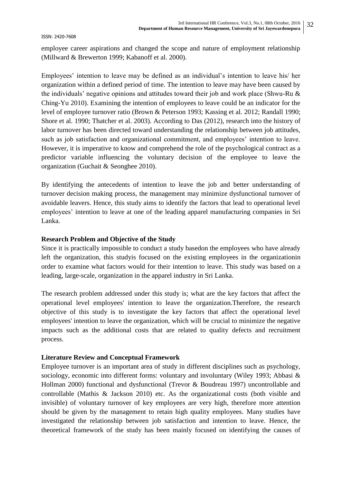employee career aspirations and changed the scope and nature of employment relationship (Millward & Brewerton 1999; Kabanoff et al. 2000).

Employees' intention to leave may be defined as an individual's intention to leave his/ her organization within a defined period of time. The intention to leave may have been caused by the individuals' negative opinions and attitudes toward their job and work place (Shwu-Ru  $\&$ Ching-Yu 2010). Examining the intention of employees to leave could be an indicator for the level of employee turnover ratio (Brown & Peterson 1993; Kassing et al. 2012; Randall 1990; Shore et al. 1990; Thatcher et al. 2003). According to Das (2012), research into the history of labor turnover has been directed toward understanding the relationship between job attitudes, such as job satisfaction and organizational commitment, and employees' intention to leave. However, it is imperative to know and comprehend the role of the psychological contract as a predictor variable influencing the voluntary decision of the employee to leave the organization (Guchait & Seonghee 2010).

By identifying the antecedents of intention to leave the job and better understanding of turnover decision making process, the management may minimize dysfunctional turnover of avoidable leavers. Hence, this study aims to identify the factors that lead to operational level employees" intention to leave at one of the leading apparel manufacturing companies in Sri Lanka.

# **Research Problem and Objective of the Study**

Since it is practically impossible to conduct a study basedon the employees who have already left the organization, this studyis focused on the existing employees in the organizationin order to examine what factors would for their intention to leave. This study was based on a leading, large-scale, organization in the apparel industry in Sri Lanka.

The research problem addressed under this study is; what are the key factors that affect the operational level employees' intention to leave the organization.Therefore, the research objective of this study is to investigate the key factors that affect the operational level employees' intention to leave the organization, which will be crucial to minimize the negative impacts such as the additional costs that are related to quality defects and recruitment process.

# **Literature Review and Conceptual Framework**

Employee turnover is an important area of study in different disciplines such as psychology, sociology, economic into different forms: voluntary and involuntary (Wiley 1993; Abbasi & Hollman 2000) functional and dysfunctional (Trevor & Boudreau 1997) uncontrollable and controllable (Mathis & Jackson 2010) etc. As the organizational costs (both visible and invisible) of voluntary turnover of key employees are very high, therefore more attention should be given by the management to retain high quality employees. Many studies have investigated the relationship between job satisfaction and intention to leave. Hence, the theoretical framework of the study has been mainly focused on identifying the causes of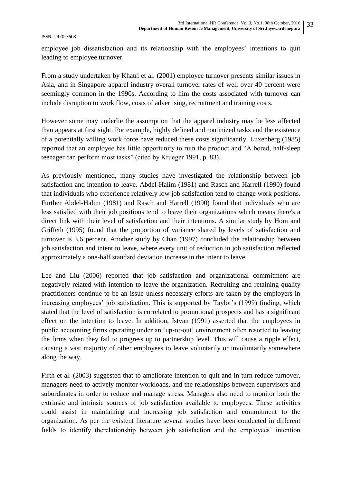employee job dissatisfaction and its relationship with the employees' intentions to quit leading to employee turnover.

From a study undertaken by Khatri et al. (2001) employee turnover presents similar issues in Asia, and in Singapore apparel industry overall turnover rates of well over 40 percent were seemingly common in the 1990s. According to him the costs associated with turnover can include disruption to work flow, costs of advertising, recruitment and training costs.

However some may underlie the assumption that the apparel industry may be less affected than appears at first sight. For example, highly defined and routinized tasks and the existence of a potentially willing work force have reduced these costs significantly. Luxenberg (1985) reported that an employee has little opportunity to ruin the product and "A bored, half-sleep teenager can perform most tasks" (cited by Krueger 1991, p. 83).

As previously mentioned, many studies have investigated the relationship between job satisfaction and intention to leave. Abdel-Halim (1981) and Rasch and Harrell (1990) found that individuals who experience relatively low job satisfaction tend to change work positions. Further Abdel-Halim (1981) and Rasch and Harrell (1990) found that individuals who are less satisfied with their job positions tend to leave their organizations which means there's a direct link with their level of satisfaction and their intentions. A similar study by Hom and Griffeth (1995) found that the proportion of variance shared by levels of satisfaction and turnover is 3.6 percent. Another study by Chan (1997) concluded the relationship between job satisfaction and intent to leave, where every unit of reduction in job satisfaction reflected approximately a one-half standard deviation increase in the intent to leave.

Lee and Liu (2006) reported that job satisfaction and organizational commitment are negatively related with intention to leave the organization. Recruiting and retaining quality practitioners continue to be an issue unless necessary efforts are taken by the employers in increasing employees' job satisfaction. This is supported by Taylor's (1999) finding, which stated that the level of satisfaction is correlated to promotional prospects and has a significant effect on the intention to leave. In addition, Istvan (1991) asserted that the employees in public accounting firms operating under an "up-or-out" environment often resorted to leaving the firms when they fail to progress up to partnership level. This will cause a ripple effect, causing a vast majority of other employees to leave voluntarily or involuntarily somewhere along the way.

Firth et al. (2003) suggested that to ameliorate intention to quit and in turn reduce turnover, managers need to actively monitor workloads, and the relationships between supervisors and subordinates in order to reduce and manage stress. Managers also need to monitor both the extrinsic and intrinsic sources of job satisfaction available to employees. These activities could assist in maintaining and increasing job satisfaction and commitment to the organization. As per the existent literature several studies have been conducted in different fields to identify therelationship between job satisfaction and the employees' intention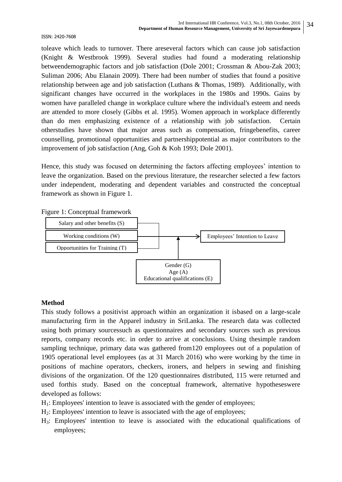toleave which leads to turnover. There areseveral factors which can cause job satisfaction (Knight & Westbrook 1999). Several studies had found a moderating relationship betweendemographic factors and job satisfaction (Dole 2001; Crossman & Abou-Zak 2003; Suliman 2006; Abu Elanain 2009). There had been number of studies that found a positive relationship between age and job satisfaction (Luthans & Thomas, 1989). Additionally, with significant changes have occurred in the workplaces in the 1980s and 1990s. Gains by women have paralleled change in workplace culture where the individual's esteem and needs are attended to more closely (Gibbs et al. 1995). Women approach in workplace differently than do men emphasizing existence of a relationship with job satisfaction. Certain otherstudies have shown that major areas such as compensation, fringebenefits, career counselling, promotional opportunities and partnershippotential as major contributors to the improvement of job satisfaction (Ang, Goh & Koh 1993; Dole 2001).

Hence, this study was focused on determining the factors affecting employees' intention to leave the organization. Based on the previous literature, the researcher selected a few factors under independent, moderating and dependent variables and constructed the conceptual framework as shown in Figure 1.

Figure 1: Conceptual framework



# **Method**

This study follows a positivist approach within an organization it isbased on a large-scale manufacturing firm in the Apparel industry in SriLanka. The research data was collected using both primary sourcessuch as questionnaires and secondary sources such as previous reports, company records etc. in order to arrive at conclusions. Using thesimple random sampling technique, primary data was gathered from120 employees out of a population of 1905 operational level employees (as at 31 March 2016) who were working by the time in positions of machine operators, checkers, ironers, and helpers in sewing and finishing divisions of the organization. Of the 120 questionnaires distributed, 115 were returned and used forthis study. Based on the conceptual framework, alternative hypotheseswere developed as follows:

- $H_1$ : Employees' intention to leave is associated with the gender of employees;
- H2: Employees' intention to leave is associated with the age of employees;
- H3: Employees' intention to leave is associated with the educational qualifications of employees;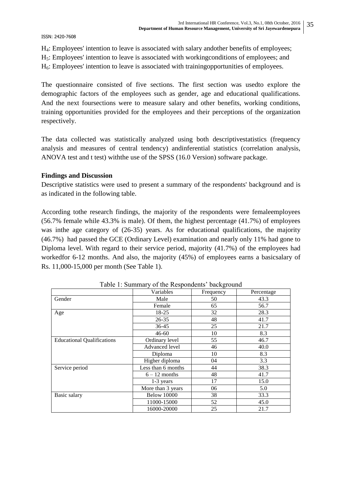H4: Employees' intention to leave is associated with salary andother benefits of employees;

H5: Employees' intention to leave is associated with workingconditions of employees; and

H6: Employees' intention to leave is associated with trainingopportunities of employees.

The questionnaire consisted of five sections. The first section was usedto explore the demographic factors of the employees such as gender, age and educational qualifications. And the next foursections were to measure salary and other benefits, working conditions, training opportunities provided for the employees and their perceptions of the organization respectively.

The data collected was statistically analyzed using both descriptivestatistics (frequency analysis and measures of central tendency) andinferential statistics (correlation analysis, ANOVA test and t test) withthe use of the SPSS (16.0 Version) software package.

# **Findings and Discussion**

Descriptive statistics were used to present a summary of the respondents' background and is as indicated in the following table.

According tothe research findings, the majority of the respondents were femaleemployees (56.7% female while 43.3% is male). Of them, the highest percentage (41.7%) of employees was in the age category of  $(26-35)$  years. As for educational qualifications, the majority (46.7%) had passed the GCE (Ordinary Level) examination and nearly only 11% had gone to Diploma level. With regard to their service period, majority (41.7%) of the employees had workedfor 6-12 months. And also, the majority (45%) of employees earns a basicsalary of Rs. 11,000-15,000 per month (See Table 1).

|                                   | Variables          | Frequency | Percentage |
|-----------------------------------|--------------------|-----------|------------|
| Gender                            | Male               | 50        | 43.3       |
|                                   | Female             | 65        | 56.7       |
| Age                               | $18-25$            | 32        | 28.3       |
|                                   | $26 - 35$          | 48        | 41.7       |
|                                   | $36-45$            | 25        | 21.7       |
|                                   | $46 - 60$          | 10        | 8.3        |
| <b>Educational Qualifications</b> | Ordinary level     | 55        | 46.7       |
|                                   | Advanced level     | 46        | 40.0       |
|                                   | Diploma            | 10        | 8.3        |
|                                   | Higher diploma     | 04        | 3.3        |
| Service period                    | Less than 6 months | 44        | 38.3       |
|                                   | $6 - 12$ months    | 48        | 41.7       |
|                                   | 1-3 years          | 17        | 15.0       |
|                                   | More than 3 years  | 06        | 5.0        |
| Basic salary                      | <b>Below 10000</b> | 38        | 33.3       |
|                                   | 11000-15000        | 52        | 45.0       |
|                                   | 16000-20000        | 25        | 21.7       |

Table 1: Summary of the Respondents' background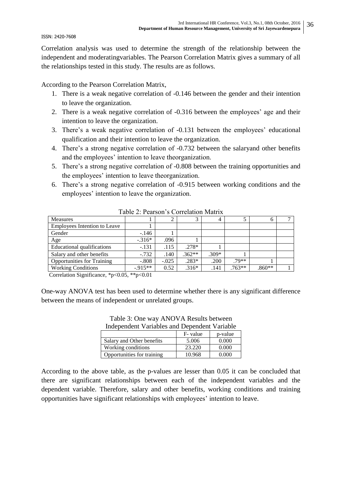Correlation analysis was used to determine the strength of the relationship between the independent and moderatingvariables. The Pearson Correlation Matrix gives a summary of all the relationships tested in this study. The results are as follows.

According to the Pearson Correlation Matrix,

- 1. There is a weak negative correlation of -0.146 between the gender and their intention to leave the organization.
- 2. There is a weak negative correlation of  $-0.316$  between the employees' age and their intention to leave the organization.
- 3. There's a weak negative correlation of -0.131 between the employees' educational qualification and their intention to leave the organization.
- 4. There"s a strong negative correlation of -0.732 between the salaryand other benefits and the employees' intention to leave theorganization.
- 5. There"s a strong negative correlation of -0.808 between the training opportunities and the employees" intention to leave theorganization.
- 6. There"s a strong negative correlation of -0.915 between working conditions and the employees' intention to leave the organization.

| $14010 = 1$ calboll b colloimed from the |          |         |          |         |          |              |  |  |  |
|------------------------------------------|----------|---------|----------|---------|----------|--------------|--|--|--|
| <b>Measures</b>                          |          |         |          | 4       |          | <sub>0</sub> |  |  |  |
| <b>Employees Intention to Leave</b>      |          |         |          |         |          |              |  |  |  |
| Gender                                   | $-146$   |         |          |         |          |              |  |  |  |
| Age                                      | $-.316*$ | .096    |          |         |          |              |  |  |  |
| Educational qualifications               | $-.131$  | .115    | $.278*$  |         |          |              |  |  |  |
| Salary and other benefits                | $-0.732$ | .140    | $.362**$ | $.309*$ |          |              |  |  |  |
| <b>Opportunities for Training</b>        | $-.808$  | $-.025$ | $.283*$  | .200    | $.79**$  |              |  |  |  |
| <b>Working Conditions</b>                | $-915**$ | 0.52    | $.316*$  | .141    | $.763**$ | $.860**$     |  |  |  |

Table 2: Pearson"s Correlation Matrix

Correlation Significance, \*p<0.05, \*\*p<0.01

One-way ANOVA test has been used to determine whether there is any significant difference between the means of independent or unrelated groups.

| muependent variables and Dependent variable |         |         |  |  |  |  |  |
|---------------------------------------------|---------|---------|--|--|--|--|--|
|                                             | F-value | p-value |  |  |  |  |  |
| Salary and Other benefits                   | 5.006   | 0.000   |  |  |  |  |  |
| Working conditions                          | 23.220  | 0.000   |  |  |  |  |  |
| Opportunities for training                  | 10.968  | 0.000   |  |  |  |  |  |

Table 3: One way ANOVA Results between Independent Variables and Dependent Variable

According to the above table, as the p-values are lesser than 0.05 it can be concluded that there are significant relationships between each of the independent variables and the dependent variable. Therefore, salary and other benefits, working conditions and training opportunities have significant relationships with employees" intention to leave.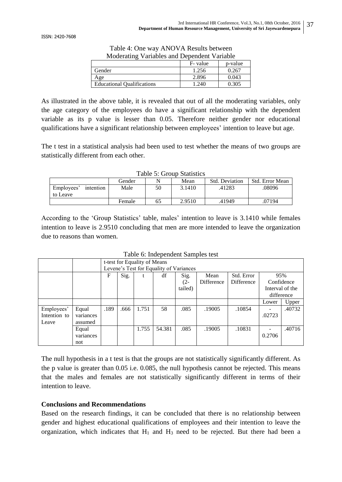| Moderating Variables and Dependent Variable |       |       |  |  |  |  |
|---------------------------------------------|-------|-------|--|--|--|--|
| F-value<br>p-value                          |       |       |  |  |  |  |
| Gender                                      | 1.256 | 0.267 |  |  |  |  |
| Age                                         | 2.896 | 0.043 |  |  |  |  |
| <b>Educational Qualifications</b>           | 1.240 | 0.305 |  |  |  |  |

Table 4: One way ANOVA Results between

As illustrated in the above table, it is revealed that out of all the moderating variables, only the age category of the employees do have a significant relationship with the dependent variable as its p value is lesser than 0.05. Therefore neither gender nor educational qualifications have a significant relationship between employees' intention to leave but age.

The t test in a statistical analysis had been used to test whether the means of two groups are statistically different from each other.

| 10010 01 OIO00 DUUDOO               |        |    |        |                       |                 |  |  |  |  |
|-------------------------------------|--------|----|--------|-----------------------|-----------------|--|--|--|--|
|                                     | Gender |    | Mean   | <b>Std. Deviation</b> | Std. Error Mean |  |  |  |  |
| Employees'<br>intention<br>to Leave | Male   | 50 | 3.1410 | .41283                | .08096          |  |  |  |  |
|                                     | Female | 65 | 2.9510 | .41949                | .07194          |  |  |  |  |

According to the 'Group Statistics' table, males' intention to leave is 3.1410 while females intention to leave is 2.9510 concluding that men are more intended to leave the organization due to reasons than women.

|              |           | t-test for Equality of Means<br>Levene's Test for Equality of Variances |      |       |        |         |                   |            |            |                 |  |
|--------------|-----------|-------------------------------------------------------------------------|------|-------|--------|---------|-------------------|------------|------------|-----------------|--|
|              |           |                                                                         |      |       |        |         |                   |            |            |                 |  |
|              |           | F                                                                       | Sig. | t     | df     | Sig.    | Mean              | Std. Error | 95%        |                 |  |
|              |           |                                                                         |      |       |        | $(2 -$  | <b>Difference</b> | Difference | Confidence |                 |  |
|              |           |                                                                         |      |       |        | tailed) |                   |            |            | Interval of the |  |
|              |           |                                                                         |      |       |        |         |                   |            |            | difference      |  |
|              |           |                                                                         |      |       |        |         |                   |            | Lower      | Upper           |  |
| Employees'   | Equal     | .189                                                                    | .666 | 1.751 | 58     | .085    | .19005            | .10854     | -          | .40732          |  |
| Intention to | variances |                                                                         |      |       |        |         |                   |            | .02723     |                 |  |
| Leave        | assumed   |                                                                         |      |       |        |         |                   |            |            |                 |  |
|              | Equal     |                                                                         |      | 1.755 | 54.381 | .085    | .19005            | .10831     |            | .40716          |  |
|              | variances |                                                                         |      |       |        |         |                   |            | 0.2706     |                 |  |
|              | not       |                                                                         |      |       |        |         |                   |            |            |                 |  |

Table 6: Independent Samples test

The null hypothesis in a t test is that the groups are not statistically significantly different. As the p value is greater than 0.05 i.e. 0.085, the null hypothesis cannot be rejected. This means that the males and females are not statistically significantly different in terms of their intention to leave.

# **Conclusions and Recommendations**

Based on the research findings, it can be concluded that there is no relationship between gender and highest educational qualifications of employees and their intention to leave the organization, which indicates that  $H_1$  and  $H_3$  need to be rejected. But there had been a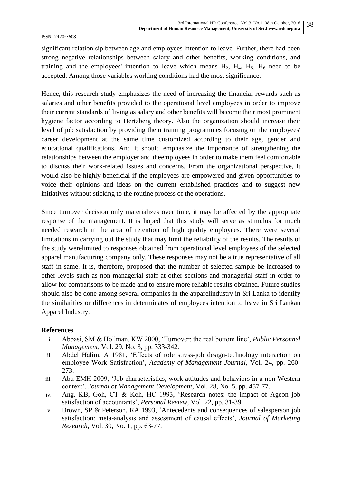significant relation sip between age and employees intention to leave. Further, there had been strong negative relationships between salary and other benefits, working conditions, and training and the employees' intention to leave which means  $H_2$ ,  $H_4$ ,  $H_5$ ,  $H_6$  need to be accepted. Among those variables working conditions had the most significance.

Hence, this research study emphasizes the need of increasing the financial rewards such as salaries and other benefits provided to the operational level employees in order to improve their current standards of living as salary and other benefits will become their most prominent hygiene factor according to Hertzberg theory. Also the organization should increase their level of job satisfaction by providing them training programmes focusing on the employees' career development at the same time customized according to their age, gender and educational qualifications. And it should emphasize the importance of strengthening the relationships between the employer and theemployees in order to make them feel comfortable to discuss their work-related issues and concerns. From the organizational perspective, it would also be highly beneficial if the employees are empowered and given opportunities to voice their opinions and ideas on the current established practices and to suggest new initiatives without sticking to the routine process of the operations.

Since turnover decision only materializes over time, it may be affected by the appropriate response of the management. It is hoped that this study will serve as stimulus for much needed research in the area of retention of high quality employees. There were several limitations in carrying out the study that may limit the reliability of the results. The results of the study werelimited to responses obtained from operational level employees of the selected apparel manufacturing company only. These responses may not be a true representative of all staff in same. It is, therefore, proposed that the number of selected sample be increased to other levels such as non-managerial staff at other sections and managerial staff in order to allow for comparisons to be made and to ensure more reliable results obtained. Future studies should also be done among several companies in the apparelindustry in Sri Lanka to identify the similarities or differences in determinates of employees intention to leave in Sri Lankan Apparel Industry.

# **References**

- i. Abbasi, SM & Hollman, KW 2000, "Turnover: the real bottom line", *Public Personnel Management,* Vol. 29, No. 3, pp. 333-342.
- ii. Abdel Halim, A 1981, "Effects of role stress-job design-technology interaction on employee Work Satisfaction", *Academy of Management Journal,* Vol. 24, pp. 260- 273.
- iii. Abu EMH 2009, "Job characteristics, work attitudes and behaviors in a non-Western context", *Journal of Management Development,* Vol. 28, No. 5, pp. 457-77.
- iv. Ang, KB, Goh, CT & Koh, HC 1993, "Research notes: the impact of Ageon job satisfaction of accountants", *Personal Review,* Vol. 22, pp. 31-39.
- v. Brown, SP & Peterson, RA 1993, "Antecedents and consequences of salesperson job satisfaction: meta-analysis and assessment of causal effects", *Journal of Marketing Research*, Vol. 30, No. 1, pp. 63-77.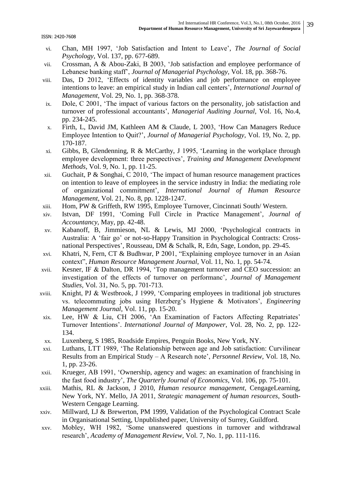- vi. Chan, MH 1997, "Job Satisfaction and Intent to Leave", *The Journal of Social Psychology*, Vol. 137, pp. 677-689.
- vii. Crossman, A & Abou-Zaki, B 2003, "Job satisfaction and employee performance of Lebanese banking staff", *Journal of Managerial Psychology,* Vol. 18, pp. 368-76.
- viii. Das, D 2012, "Effects of identity variables and job performance on employee intentions to leave: an empirical study in Indian call centers', *International Journal of Management*, Vol. 29, No. 1, pp. 368-378.
- ix. Dole, C 2001, "The impact of various factors on the personality, job satisfaction and turnover of professional accountants", *Managerial Auditing Journal,* Vol. 16, No.4, pp. 234-245.
- x. Firth, L, David JM, Kathleen AM & Claude, L 2003, "How Can Managers Reduce Employee Intention to Quit?", *Journal of Managerial Psychology,* Vol. 19, No. 2, pp. 170-187.
- xi. Gibbs, B, Glendenning, R & McCarthy, J 1995, "Learning in the workplace through employee development: three perspectives", *Training and Management Development Methods*, Vol. 9, No. 1, pp. 11-25.
- xii. Guchait, P & Songhai, C 2010, "The impact of human resource management practices on intention to leave of employees in the service industry in India: the mediating role of organizational commitment", *International Journal of Human Resource Management*, Vol. 21, No. 8, pp. 1228-1247.
- xiii. Hom, PW & Griffeth, RW 1995, Employee Turnover, Cincinnati South/ Western.
- xiv. Istvan, DF 1991, "Coming Full Circle in Practice Management", *Journal of Accountancy*, May, pp. 42-48.
- xv. Kabanoff, B, Jimmieson, NL & Lewis, MJ 2000, "Psychological contracts in Australia: A "fair go" or not-so-Happy Transition in Psychological Contracts: Crossnational Perspectives", Rousseau, DM & Schalk, R, Edn, Sage, London, pp. 29-45.
- xvi. Khatri, N, Fern, CT & Budhwar, P 2001, "Explaining employee turnover in an Asian context", *Human Resource Management Journal*, Vol. 11, No. 1, pp. 54-74.
- xvii. Kesner, IF & Dalton, DR 1994, "Top management turnover and CEO succession: an investigation of the effects of turnover on performanc", *Journal of Management Studies,* Vol. 31, No. 5, pp. 701-713.
- xviii. Knight, PJ & Westbrook, J 1999, "Comparing employees in traditional job structures vs. telecommuting jobs using Herzberg"s Hygiene & Motivators", *Engineering Management Journal,* Vol. 11, pp. 15-20.
- xix. Lee, HW & Liu, CH 2006, "An Examination of Factors Affecting Repatriates" Turnover Intentions". *International Journal of Manpower*, Vol. 28, No. 2, pp. 122- 134.
- xx. Luxenberg, S 1985, Roadside Empires, Penguin Books, New York, NY.
- xxi. Luthans, LTT 1989, "The Relationship between age and Job satisfaction: Curvilinear Results from an Empirical Study – A Research note", *Personnel Review,* Vol. 18, No. 1, pp. 23-26.
- xxii. Krueger, AB 1991, "Ownership, agency and wages: an examination of franchising in the fast food industry", *The Quarterly Journal of Economics*, Vol. 106, pp. 75-101.
- xxiii. Mathis, RL & Jackson, J 2010, *Human resource management,* CengageLearning, New York, NY. Mello, JA 2011, *Strategic management of human resources,* South-Western Cengage Learning.
- xxiv. Millward, LJ & Brewerton, PM 1999, Validation of the Psychological Contract Scale in Organisational Setting, Unpublished paper, University of Surrey, Guildford.
- xxv. Mobley, WH 1982, "Some unanswered questions in turnover and withdrawal research", *Academy of Management Review,* Vol. 7, No. 1, pp. 111-116.